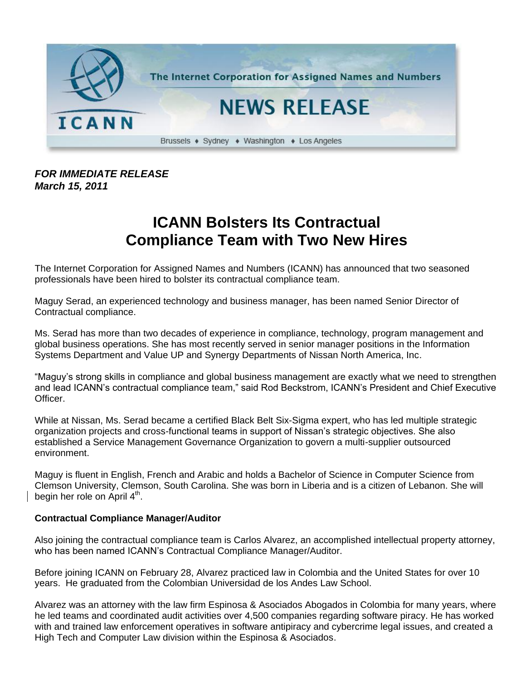

## *FOR IMMEDIATE RELEASE March 15, 2011*

## **ICANN Bolsters Its Contractual Compliance Team with Two New Hires**

The Internet Corporation for Assigned Names and Numbers (ICANN) has announced that two seasoned professionals have been hired to bolster its contractual compliance team.

Maguy Serad, an experienced technology and business manager, has been named Senior Director of Contractual compliance.

Ms. Serad has more than two decades of experience in compliance, technology, program management and global business operations. She has most recently served in senior manager positions in the Information Systems Department and Value UP and Synergy Departments of Nissan North America, Inc.

"Maguy's strong skills in compliance and global business management are exactly what we need to strengthen and lead ICANN's contractual compliance team," said Rod Beckstrom, ICANN's President and Chief Executive Officer.

While at Nissan, Ms. Serad became a certified Black Belt Six-Sigma expert, who has led multiple strategic organization projects and cross-functional teams in support of Nissan's strategic objectives. She also established a Service Management Governance Organization to govern a multi-supplier outsourced environment.

Maguy is fluent in English, French and Arabic and holds a Bachelor of Science in Computer Science from Clemson University, Clemson, South Carolina. She was born in Liberia and is a citizen of Lebanon. She will begin her role on April  $4^{\text{th}}$ .

## **Contractual Compliance Manager/Auditor**

Also joining the contractual compliance team is Carlos Alvarez, an accomplished intellectual property attorney, who has been named ICANN's Contractual Compliance Manager/Auditor.

Before joining ICANN on February 28, Alvarez practiced law in Colombia and the United States for over 10 years. He graduated from the Colombian Universidad de los Andes Law School.

Alvarez was an attorney with the law firm Espinosa & Asociados Abogados in Colombia for many years, where he led teams and coordinated audit activities over 4,500 companies regarding software piracy. He has worked with and trained law enforcement operatives in software antipiracy and cybercrime legal issues, and created a High Tech and Computer Law division within the Espinosa & Asociados.